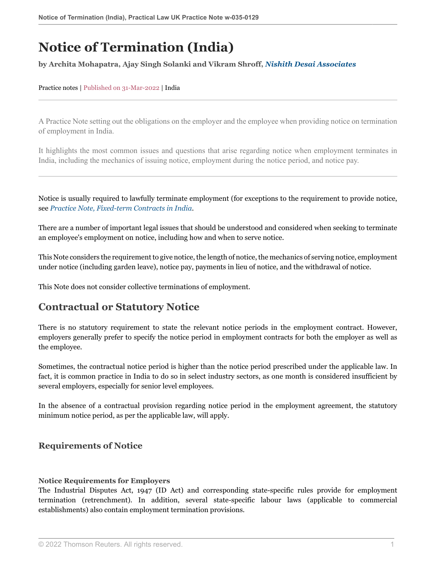# **Notice of Termination (India)**

#### **by Archita Mohapatra, Ajay Singh Solanki and Vikram Shroff,** *[Nishith Desai Associates](https://www.nishithdesai.com/ )*

#### Practice notes | Published on 31-Mar-2022 | India

A Practice Note setting out the obligations on the employer and the employee when providing notice on termination of employment in India.

It highlights the most common issues and questions that arise regarding notice when employment terminates in India, including the mechanics of issuing notice, employment during the notice period, and notice pay.

Notice is usually required to lawfully terminate employment (for exceptions to the requirement to provide notice, see *[Practice Note, Fixed-term Contracts in India](http://uk.practicallaw.thomsonreuters.com/w-034-2153?originationContext=document&vr=3.0&rs=PLUK1.0&transitionType=DocumentItem&contextData=(sc.Default))*.

There are a number of important legal issues that should be understood and considered when seeking to terminate an employee's employment on notice, including how and when to serve notice.

This Note considers the requirement to give notice, the length of notice, the mechanics of serving notice, employment under notice (including garden leave), notice pay, payments in lieu of notice, and the withdrawal of notice.

This Note does not consider collective terminations of employment.

# **Contractual or Statutory Notice**

There is no statutory requirement to state the relevant notice periods in the employment contract. However, employers generally prefer to specify the notice period in employment contracts for both the employer as well as the employee.

Sometimes, the contractual notice period is higher than the notice period prescribed under the applicable law. In fact, it is common practice in India to do so in select industry sectors, as one month is considered insufficient by several employers, especially for senior level employees.

In the absence of a contractual provision regarding notice period in the employment agreement, the statutory minimum notice period, as per the applicable law, will apply.

### <span id="page-0-0"></span>**Requirements of Notice**

#### **Notice Requirements for Employers**

The Industrial Disputes Act, 1947 (ID Act) and corresponding state-specific rules provide for employment termination (retrenchment). In addition, several state-specific labour laws (applicable to commercial establishments) also contain employment termination provisions.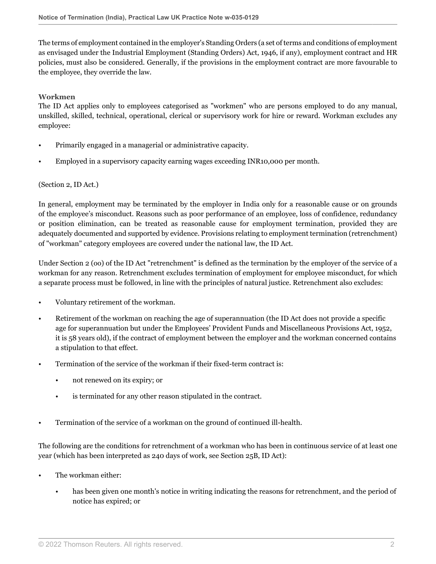The terms of employment contained in the employer's Standing Orders (a set of terms and conditions of employment as envisaged under the Industrial Employment (Standing Orders) Act, 1946, if any), employment contract and HR policies, must also be considered. Generally, if the provisions in the employment contract are more favourable to the employee, they override the law.

#### **Workmen**

The ID Act applies only to employees categorised as "workmen" who are persons employed to do any manual, unskilled, skilled, technical, operational, clerical or supervisory work for hire or reward. Workman excludes any employee:

- Primarily engaged in a managerial or administrative capacity.
- Employed in a supervisory capacity earning wages exceeding INR10,000 per month.

#### (Section 2, ID Act.)

In general, employment may be terminated by the employer in India only for a reasonable cause or on grounds of the employee's misconduct. Reasons such as poor performance of an employee, loss of confidence, redundancy or position elimination, can be treated as reasonable cause for employment termination, provided they are adequately documented and supported by evidence. Provisions relating to employment termination (retrenchment) of "workman" category employees are covered under the national law, the ID Act.

Under Section 2 (oo) of the ID Act "retrenchment" is defined as the termination by the employer of the service of a workman for any reason. Retrenchment excludes termination of employment for employee misconduct, for which a separate process must be followed, in line with the principles of natural justice. Retrenchment also excludes:

- Voluntary retirement of the workman.
- Retirement of the workman on reaching the age of superannuation (the ID Act does not provide a specific age for superannuation but under the Employees' Provident Funds and Miscellaneous Provisions Act, 1952, it is 58 years old), if the contract of employment between the employer and the workman concerned contains a stipulation to that effect.
- Termination of the service of the workman if their fixed-term contract is:
	- not renewed on its expiry; or
	- is terminated for any other reason stipulated in the contract.
- Termination of the service of a workman on the ground of continued ill-health.

The following are the conditions for retrenchment of a workman who has been in continuous service of at least one year (which has been interpreted as 240 days of work, see Section 25B, ID Act):

- The workman either:
	- has been given one month's notice in writing indicating the reasons for retrenchment, and the period of notice has expired; or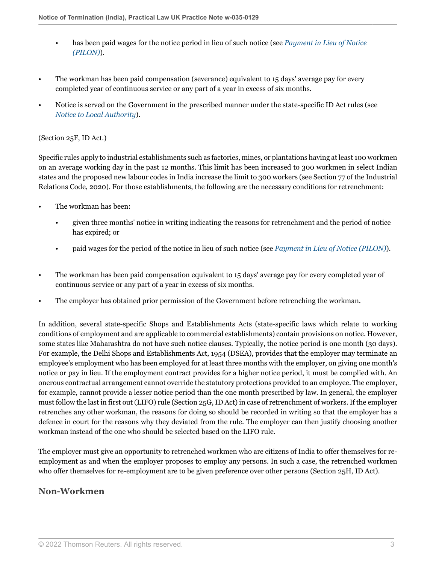- has been paid wages for the notice period in lieu of such notice (see *[Payment in Lieu of Notice](#page-4-0) [\(PILON\)](#page-4-0)*).
- The workman has been paid compensation (severance) equivalent to 15 days' average pay for every completed year of continuous service or any part of a year in excess of six months.
- Notice is served on the Government in the prescribed manner under the state-specific ID Act rules (see *[Notice to Local Authority](#page-3-0)*).

#### (Section 25F, ID Act.)

Specific rules apply to industrial establishments such as factories, mines, or plantations having at least 100 workmen on an average working day in the past 12 months. This limit has been increased to 300 workmen in select Indian states and the proposed new labour codes in India increase the limit to 300 workers (see Section 77 of the Industrial Relations Code, 2020). For those establishments, the following are the necessary conditions for retrenchment:

- The workman has been:
	- given three months' notice in writing indicating the reasons for retrenchment and the period of notice has expired; or
	- paid wages for the period of the notice in lieu of such notice (see *[Payment in Lieu of Notice \(PILON\)](#page-4-0)*).
- The workman has been paid compensation equivalent to 15 days' average pay for every completed year of continuous service or any part of a year in excess of six months.
- The employer has obtained prior permission of the Government before retrenching the workman.

In addition, several state-specific Shops and Establishments Acts (state-specific laws which relate to working conditions of employment and are applicable to commercial establishments) contain provisions on notice. However, some states like Maharashtra do not have such notice clauses. Typically, the notice period is one month (30 days). For example, the Delhi Shops and Establishments Act, 1954 (DSEA), provides that the employer may terminate an employee's employment who has been employed for at least three months with the employer, on giving one month's notice or pay in lieu. If the employment contract provides for a higher notice period, it must be complied with. An onerous contractual arrangement cannot override the statutory protections provided to an employee. The employer, for example, cannot provide a lesser notice period than the one month prescribed by law. In general, the employer must follow the last in first out (LIFO) rule (Section 25G, ID Act) in case of retrenchment of workers. If the employer retrenches any other workman, the reasons for doing so should be recorded in writing so that the employer has a defence in court for the reasons why they deviated from the rule. The employer can then justify choosing another workman instead of the one who should be selected based on the LIFO rule.

The employer must give an opportunity to retrenched workmen who are citizens of India to offer themselves for reemployment as and when the employer proposes to employ any persons. In such a case, the retrenched workmen who offer themselves for re-employment are to be given preference over other persons (Section 25H, ID Act).

#### **Non-Workmen**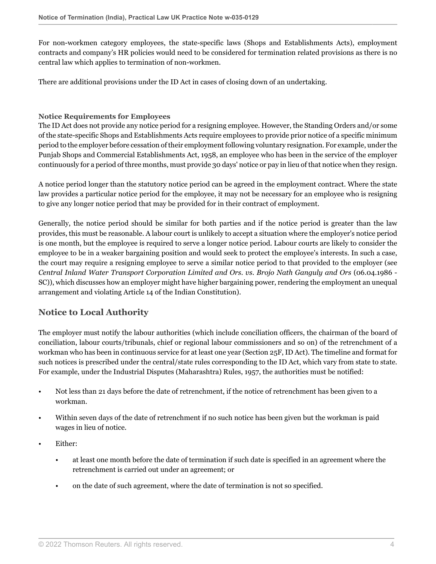For non-workmen category employees, the state-specific laws (Shops and Establishments Acts), employment contracts and company's HR policies would need to be considered for termination related provisions as there is no central law which applies to termination of non-workmen.

There are additional provisions under the ID Act in cases of closing down of an undertaking.

#### **Notice Requirements for Employees**

The ID Act does not provide any notice period for a resigning employee. However, the Standing Orders and/or some of the state-specific Shops and Establishments Acts require employees to provide prior notice of a specific minimum period to the employer before cessation of their employment following voluntary resignation. For example, under the Punjab Shops and Commercial Establishments Act, 1958, an employee who has been in the service of the employer continuously for a period of three months, must provide 30 days' notice or pay in lieu of that notice when they resign.

A notice period longer than the statutory notice period can be agreed in the employment contract. Where the state law provides a particular notice period for the employee, it may not be necessary for an employee who is resigning to give any longer notice period that may be provided for in their contract of employment.

Generally, the notice period should be similar for both parties and if the notice period is greater than the law provides, this must be reasonable. A labour court is unlikely to accept a situation where the employer's notice period is one month, but the employee is required to serve a longer notice period. Labour courts are likely to consider the employee to be in a weaker bargaining position and would seek to protect the employee's interests. In such a case, the court may require a resigning employee to serve a similar notice period to that provided to the employer (see *Central Inland Water Transport Corporation Limited and Ors. vs. Brojo Nath Ganguly and Ors* (06.04.1986 - SC)), which discusses how an employer might have higher bargaining power, rendering the employment an unequal arrangement and violating Article 14 of the Indian Constitution).

# <span id="page-3-0"></span>**Notice to Local Authority**

The employer must notify the labour authorities (which include conciliation officers, the chairman of the board of conciliation, labour courts/tribunals, chief or regional labour commissioners and so on) of the retrenchment of a workman who has been in continuous service for at least one year (Section 25F, ID Act). The timeline and format for such notices is prescribed under the central/state rules corresponding to the ID Act, which vary from state to state. For example, under the Industrial Disputes (Maharashtra) Rules, 1957, the authorities must be notified:

- Not less than 21 days before the date of retrenchment, if the notice of retrenchment has been given to a workman.
- Within seven days of the date of retrenchment if no such notice has been given but the workman is paid wages in lieu of notice.
- Either:
	- at least one month before the date of termination if such date is specified in an agreement where the retrenchment is carried out under an agreement; or
	- on the date of such agreement, where the date of termination is not so specified.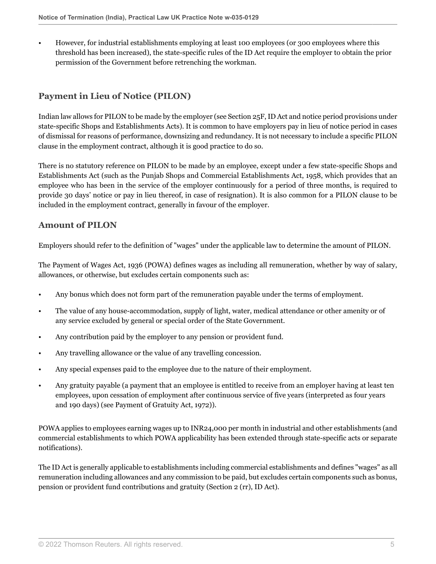• However, for industrial establishments employing at least 100 employees (or 300 employees where this threshold has been increased), the state-specific rules of the ID Act require the employer to obtain the prior permission of the Government before retrenching the workman.

# <span id="page-4-0"></span>**Payment in Lieu of Notice (PILON)**

Indian law allows for PILON to be made by the employer (see Section 25F, ID Act and notice period provisions under state-specific Shops and Establishments Acts). It is common to have employers pay in lieu of notice period in cases of dismissal for reasons of performance, downsizing and redundancy. It is not necessary to include a specific PILON clause in the employment contract, although it is good practice to do so.

There is no statutory reference on PILON to be made by an employee, except under a few state-specific Shops and Establishments Act (such as the Punjab Shops and Commercial Establishments Act, 1958, which provides that an employee who has been in the service of the employer continuously for a period of three months, is required to provide 30 days' notice or pay in lieu thereof, in case of resignation). It is also common for a PILON clause to be included in the employment contract, generally in favour of the employer.

## **Amount of PILON**

Employers should refer to the definition of "wages" under the applicable law to determine the amount of PILON.

The Payment of Wages Act, 1936 (POWA) defines wages as including all remuneration, whether by way of salary, allowances, or otherwise, but excludes certain components such as:

- Any bonus which does not form part of the remuneration payable under the terms of employment.
- The value of any house-accommodation, supply of light, water, medical attendance or other amenity or of any service excluded by general or special order of the State Government.
- Any contribution paid by the employer to any pension or provident fund.
- Any travelling allowance or the value of any travelling concession.
- Any special expenses paid to the employee due to the nature of their employment.
- Any gratuity payable (a payment that an employee is entitled to receive from an employer having at least ten employees, upon cessation of employment after continuous service of five years (interpreted as four years and 190 days) (see Payment of Gratuity Act, 1972)).

POWA applies to employees earning wages up to INR24,000 per month in industrial and other establishments (and commercial establishments to which POWA applicability has been extended through state-specific acts or separate notifications).

The ID Act is generally applicable to establishments including commercial establishments and defines "wages" as all remuneration including allowances and any commission to be paid, but excludes certain components such as bonus, pension or provident fund contributions and gratuity (Section 2 (rr), ID Act).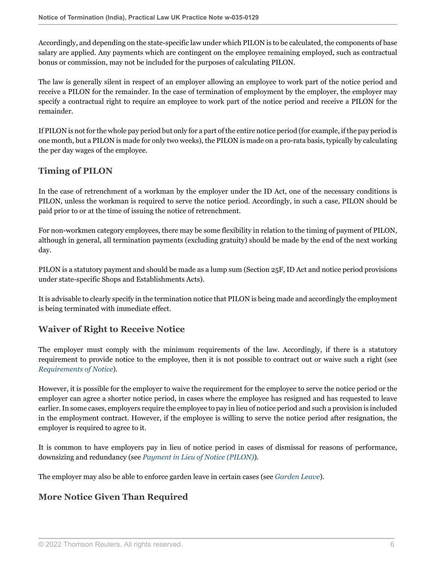Accordingly, and depending on the state-specific law under which PILON is to be calculated, the components of base salary are applied. Any payments which are contingent on the employee remaining employed, such as contractual bonus or commission, may not be included for the purposes of calculating PILON.

The law is generally silent in respect of an employer allowing an employee to work part of the notice period and receive a PILON for the remainder. In the case of termination of employment by the employer, the employer may specify a contractual right to require an employee to work part of the notice period and receive a PILON for the remainder.

If PILON is not for the whole pay period but only for a part of the entire notice period (for example, if the pay period is one month, but a PILON is made for only two weeks), the PILON is made on a pro-rata basis, typically by calculating the per day wages of the employee.

# **Timing of PILON**

In the case of retrenchment of a workman by the employer under the ID Act, one of the necessary conditions is PILON, unless the workman is required to serve the notice period. Accordingly, in such a case, PILON should be paid prior to or at the time of issuing the notice of retrenchment.

For non-workmen category employees, there may be some flexibility in relation to the timing of payment of PILON, although in general, all termination payments (excluding gratuity) should be made by the end of the next working day.

PILON is a statutory payment and should be made as a lump sum (Section 25F, ID Act and notice period provisions under state-specific Shops and Establishments Acts).

It is advisable to clearly specify in the termination notice that PILON is being made and accordingly the employment is being terminated with immediate effect.

# **Waiver of Right to Receive Notice**

The employer must comply with the minimum requirements of the law. Accordingly, if there is a statutory requirement to provide notice to the employee, then it is not possible to contract out or waive such a right (see *[Requirements of Notice](#page-0-0)*).

However, it is possible for the employer to waive the requirement for the employee to serve the notice period or the employer can agree a shorter notice period, in cases where the employee has resigned and has requested to leave earlier. In some cases, employers require the employee to pay in lieu of notice period and such a provision is included in the employment contract. However, if the employee is willing to serve the notice period after resignation, the employer is required to agree to it.

It is common to have employers pay in lieu of notice period in cases of dismissal for reasons of performance, downsizing and redundancy (see *[Payment in Lieu of Notice \(PILON\)](#page-4-0)*).

The employer may also be able to enforce garden leave in certain cases (see *[Garden Leave](#page-11-0)*).

# **More Notice Given Than Required**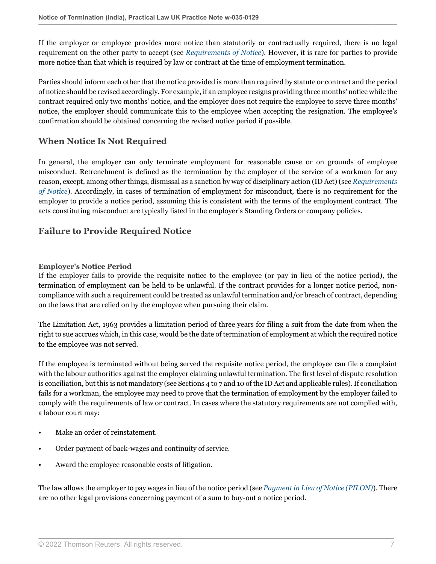If the employer or employee provides more notice than statutorily or contractually required, there is no legal requirement on the other party to accept (see *[Requirements of Notice](#page-0-0)*). However, it is rare for parties to provide more notice than that which is required by law or contract at the time of employment termination.

Parties should inform each other that the notice provided is more than required by statute or contract and the period of notice should be revised accordingly. For example, if an employee resigns providing three months' notice while the contract required only two months' notice, and the employer does not require the employee to serve three months' notice, the employer should communicate this to the employee when accepting the resignation. The employee's confirmation should be obtained concerning the revised notice period if possible.

# <span id="page-6-0"></span>**When Notice Is Not Required**

In general, the employer can only terminate employment for reasonable cause or on grounds of employee misconduct. Retrenchment is defined as the termination by the employer of the service of a workman for any reason, except, among other things, dismissal as a sanction by way of disciplinary action (ID Act) (see *[Requirements](#page-0-0) [of Notice](#page-0-0)*). Accordingly, in cases of termination of employment for misconduct, there is no requirement for the employer to provide a notice period, assuming this is consistent with the terms of the employment contract. The acts constituting misconduct are typically listed in the employer's Standing Orders or company policies.

# **Failure to Provide Required Notice**

#### **Employer's Notice Period**

If the employer fails to provide the requisite notice to the employee (or pay in lieu of the notice period), the termination of employment can be held to be unlawful. If the contract provides for a longer notice period, noncompliance with such a requirement could be treated as unlawful termination and/or breach of contract, depending on the laws that are relied on by the employee when pursuing their claim.

The Limitation Act, 1963 provides a limitation period of three years for filing a suit from the date from when the right to sue accrues which, in this case, would be the date of termination of employment at which the required notice to the employee was not served.

If the employee is terminated without being served the requisite notice period, the employee can file a complaint with the labour authorities against the employer claiming unlawful termination. The first level of dispute resolution is conciliation, but this is not mandatory (see Sections 4 to 7 and 10 of the ID Act and applicable rules). If conciliation fails for a workman, the employee may need to prove that the termination of employment by the employer failed to comply with the requirements of law or contract. In cases where the statutory requirements are not complied with, a labour court may:

- Make an order of reinstatement.
- Order payment of back-wages and continuity of service.
- Award the employee reasonable costs of litigation.

The law allows the employer to pay wages in lieu of the notice period (see *[Payment in Lieu of Notice \(PILON\)](#page-4-0)*). There are no other legal provisions concerning payment of a sum to buy-out a notice period.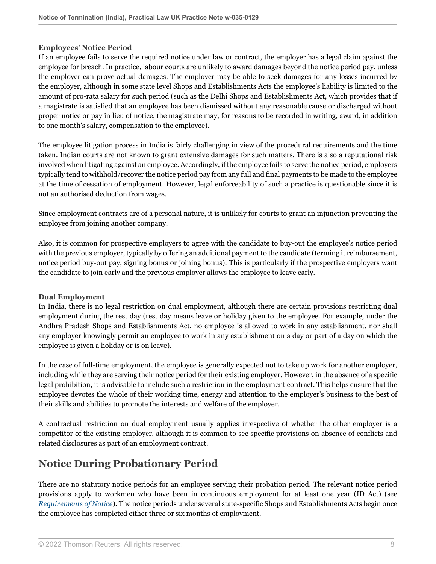#### **Employees' Notice Period**

If an employee fails to serve the required notice under law or contract, the employer has a legal claim against the employee for breach. In practice, labour courts are unlikely to award damages beyond the notice period pay, unless the employer can prove actual damages. The employer may be able to seek damages for any losses incurred by the employer, although in some state level Shops and Establishments Acts the employee's liability is limited to the amount of pro-rata salary for such period (such as the Delhi Shops and Establishments Act, which provides that if a magistrate is satisfied that an employee has been dismissed without any reasonable cause or discharged without proper notice or pay in lieu of notice, the magistrate may, for reasons to be recorded in writing, award, in addition to one month's salary, compensation to the employee).

The employee litigation process in India is fairly challenging in view of the procedural requirements and the time taken. Indian courts are not known to grant extensive damages for such matters. There is also a reputational risk involved when litigating against an employee. Accordingly, if the employee fails to serve the notice period, employers typically tend to withhold/recover the notice period pay from any full and final payments to be made to the employee at the time of cessation of employment. However, legal enforceability of such a practice is questionable since it is not an authorised deduction from wages.

Since employment contracts are of a personal nature, it is unlikely for courts to grant an injunction preventing the employee from joining another company.

Also, it is common for prospective employers to agree with the candidate to buy-out the employee's notice period with the previous employer, typically by offering an additional payment to the candidate (terming it reimbursement, notice period buy-out pay, signing bonus or joining bonus). This is particularly if the prospective employers want the candidate to join early and the previous employer allows the employee to leave early.

#### **Dual Employment**

In India, there is no legal restriction on dual employment, although there are certain provisions restricting dual employment during the rest day (rest day means leave or holiday given to the employee. For example, under the Andhra Pradesh Shops and Establishments Act, no employee is allowed to work in any establishment, nor shall any employer knowingly permit an employee to work in any establishment on a day or part of a day on which the employee is given a holiday or is on leave).

In the case of full-time employment, the employee is generally expected not to take up work for another employer, including while they are serving their notice period for their existing employer. However, in the absence of a specific legal prohibition, it is advisable to include such a restriction in the employment contract. This helps ensure that the employee devotes the whole of their working time, energy and attention to the employer's business to the best of their skills and abilities to promote the interests and welfare of the employer.

A contractual restriction on dual employment usually applies irrespective of whether the other employer is a competitor of the existing employer, although it is common to see specific provisions on absence of conflicts and related disclosures as part of an employment contract.

# **Notice During Probationary Period**

There are no statutory notice periods for an employee serving their probation period. The relevant notice period provisions apply to workmen who have been in continuous employment for at least one year (ID Act) (see *[Requirements of Notice](#page-0-0)*). The notice periods under several state-specific Shops and Establishments Acts begin once the employee has completed either three or six months of employment.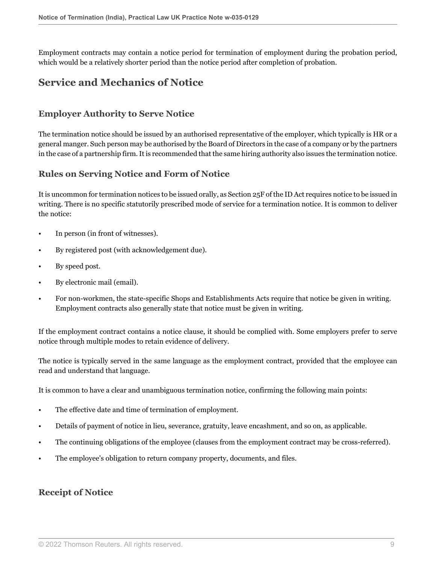Employment contracts may contain a notice period for termination of employment during the probation period, which would be a relatively shorter period than the notice period after completion of probation.

# **Service and Mechanics of Notice**

# **Employer Authority to Serve Notice**

The termination notice should be issued by an authorised representative of the employer, which typically is HR or a general manger. Such person may be authorised by the Board of Directors in the case of a company or by the partners in the case of a partnership firm. It is recommended that the same hiring authority also issues the termination notice.

### **Rules on Serving Notice and Form of Notice**

It is uncommon for termination notices to be issued orally, as Section 25F of the ID Act requires notice to be issued in writing. There is no specific statutorily prescribed mode of service for a termination notice. It is common to deliver the notice:

- In person (in front of witnesses).
- By registered post (with acknowledgement due).
- By speed post.
- By electronic mail (email).
- For non-workmen, the state-specific Shops and Establishments Acts require that notice be given in writing. Employment contracts also generally state that notice must be given in writing.

If the employment contract contains a notice clause, it should be complied with. Some employers prefer to serve notice through multiple modes to retain evidence of delivery.

The notice is typically served in the same language as the employment contract, provided that the employee can read and understand that language.

It is common to have a clear and unambiguous termination notice, confirming the following main points:

- The effective date and time of termination of employment.
- Details of payment of notice in lieu, severance, gratuity, leave encashment, and so on, as applicable.
- The continuing obligations of the employee (clauses from the employment contract may be cross-referred).
- The employee's obligation to return company property, documents, and files.

### **Receipt of Notice**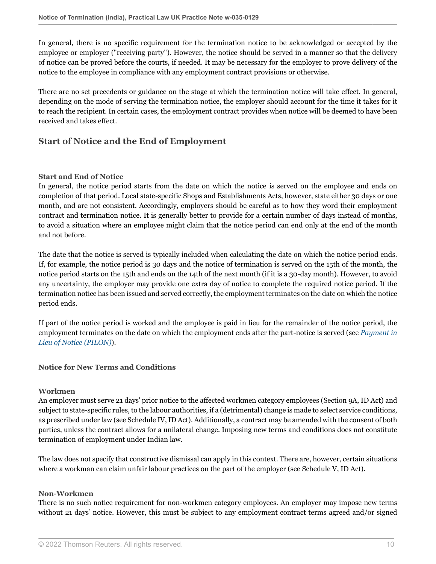In general, there is no specific requirement for the termination notice to be acknowledged or accepted by the employee or employer ("receiving party"). However, the notice should be served in a manner so that the delivery of notice can be proved before the courts, if needed. It may be necessary for the employer to prove delivery of the notice to the employee in compliance with any employment contract provisions or otherwise.

There are no set precedents or guidance on the stage at which the termination notice will take effect. In general, depending on the mode of serving the termination notice, the employer should account for the time it takes for it to reach the recipient. In certain cases, the employment contract provides when notice will be deemed to have been received and takes effect.

# **Start of Notice and the End of Employment**

#### **Start and End of Notice**

In general, the notice period starts from the date on which the notice is served on the employee and ends on completion of that period. Local state-specific Shops and Establishments Acts, however, state either 30 days or one month, and are not consistent. Accordingly, employers should be careful as to how they word their employment contract and termination notice. It is generally better to provide for a certain number of days instead of months, to avoid a situation where an employee might claim that the notice period can end only at the end of the month and not before.

The date that the notice is served is typically included when calculating the date on which the notice period ends. If, for example, the notice period is 30 days and the notice of termination is served on the 15th of the month, the notice period starts on the 15th and ends on the 14th of the next month (if it is a 30-day month). However, to avoid any uncertainty, the employer may provide one extra day of notice to complete the required notice period. If the termination notice has been issued and served correctly, the employment terminates on the date on which the notice period ends.

If part of the notice period is worked and the employee is paid in lieu for the remainder of the notice period, the employment terminates on the date on which the employment ends after the part-notice is served (see *[Payment in](#page-4-0) [Lieu of Notice \(PILON\)](#page-4-0)*).

#### **Notice for New Terms and Conditions**

#### **Workmen**

An employer must serve 21 days' prior notice to the affected workmen category employees (Section 9A, ID Act) and subject to state-specific rules, to the labour authorities, if a (detrimental) change is made to select service conditions, as prescribed under law (see Schedule IV, ID Act). Additionally, a contract may be amended with the consent of both parties, unless the contract allows for a unilateral change. Imposing new terms and conditions does not constitute termination of employment under Indian law.

The law does not specify that constructive dismissal can apply in this context. There are, however, certain situations where a workman can claim unfair labour practices on the part of the employer (see Schedule V, ID Act).

#### **Non-Workmen**

There is no such notice requirement for non-workmen category employees. An employer may impose new terms without 21 days' notice. However, this must be subject to any employment contract terms agreed and/or signed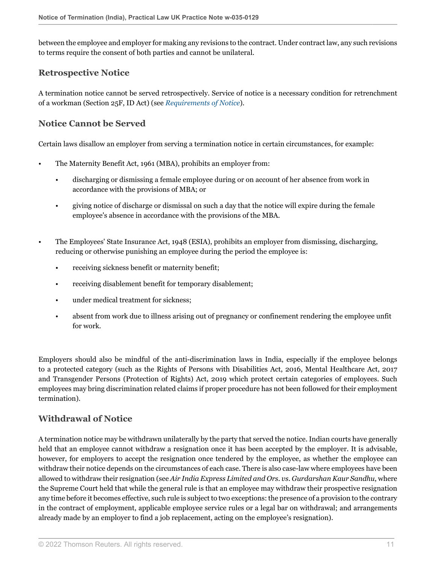between the employee and employer for making any revisions to the contract. Under contract law, any such revisions to terms require the consent of both parties and cannot be unilateral.

### **Retrospective Notice**

A termination notice cannot be served retrospectively. Service of notice is a necessary condition for retrenchment of a workman (Section 25F, ID Act) (see *[Requirements of Notice](#page-0-0)*).

# **Notice Cannot be Served**

Certain laws disallow an employer from serving a termination notice in certain circumstances, for example:

- The Maternity Benefit Act, 1961 (MBA), prohibits an employer from:
	- discharging or dismissing a female employee during or on account of her absence from work in accordance with the provisions of MBA; or
	- giving notice of discharge or dismissal on such a day that the notice will expire during the female employee's absence in accordance with the provisions of the MBA.
- The Employees' State Insurance Act, 1948 (ESIA), prohibits an employer from dismissing, discharging, reducing or otherwise punishing an employee during the period the employee is:
	- receiving sickness benefit or maternity benefit;
	- receiving disablement benefit for temporary disablement;
	- under medical treatment for sickness:
	- absent from work due to illness arising out of pregnancy or confinement rendering the employee unfit for work.

Employers should also be mindful of the anti-discrimination laws in India, especially if the employee belongs to a protected category (such as the Rights of Persons with Disabilities Act, 2016, Mental Healthcare Act, 2017 and Transgender Persons (Protection of Rights) Act, 2019 which protect certain categories of employees. Such employees may bring discrimination related claims if proper procedure has not been followed for their employment termination).

# **Withdrawal of Notice**

A termination notice may be withdrawn unilaterally by the party that served the notice. Indian courts have generally held that an employee cannot withdraw a resignation once it has been accepted by the employer. It is advisable, however, for employers to accept the resignation once tendered by the employee, as whether the employee can withdraw their notice depends on the circumstances of each case. There is also case-law where employees have been allowed to withdraw their resignation (see *Air India Express Limited and Ors. vs. Gurdarshan Kaur Sandhu*, where the Supreme Court held that while the general rule is that an employee may withdraw their prospective resignation any time before it becomes effective, such rule is subject to two exceptions: the presence of a provision to the contrary in the contract of employment, applicable employee service rules or a legal bar on withdrawal; and arrangements already made by an employer to find a job replacement, acting on the employee's resignation).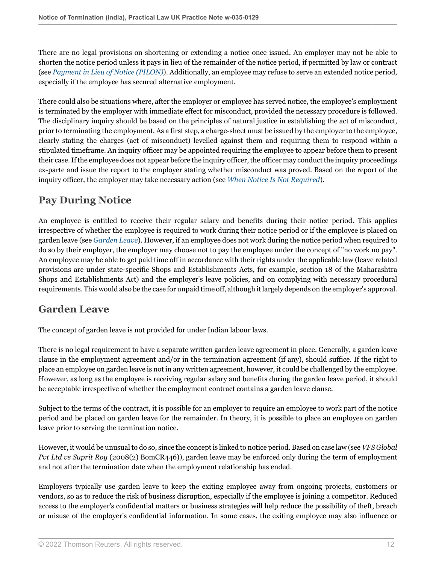There are no legal provisions on shortening or extending a notice once issued. An employer may not be able to shorten the notice period unless it pays in lieu of the remainder of the notice period, if permitted by law or contract (see *[Payment in Lieu of Notice \(PILON\)](#page-4-0)*). Additionally, an employee may refuse to serve an extended notice period, especially if the employee has secured alternative employment.

There could also be situations where, after the employer or employee has served notice, the employee's employment is terminated by the employer with immediate effect for misconduct, provided the necessary procedure is followed. The disciplinary inquiry should be based on the principles of natural justice in establishing the act of misconduct, prior to terminating the employment. As a first step, a charge-sheet must be issued by the employer to the employee, clearly stating the charges (act of misconduct) levelled against them and requiring them to respond within a stipulated timeframe. An inquiry officer may be appointed requiring the employee to appear before them to present their case. If the employee does not appear before the inquiry officer, the officer may conduct the inquiry proceedings ex-parte and issue the report to the employer stating whether misconduct was proved. Based on the report of the inquiry officer, the employer may take necessary action (see *[When Notice Is Not Required](#page-6-0)*).

# **Pay During Notice**

An employee is entitled to receive their regular salary and benefits during their notice period. This applies irrespective of whether the employee is required to work during their notice period or if the employee is placed on garden leave (see *[Garden Leave](#page-11-0)*). However, if an employee does not work during the notice period when required to do so by their employer, the employer may choose not to pay the employee under the concept of "no work no pay". An employee may be able to get paid time off in accordance with their rights under the applicable law (leave related provisions are under state-specific Shops and Establishments Acts, for example, section 18 of the Maharashtra Shops and Establishments Act) and the employer's leave policies, and on complying with necessary procedural requirements. This would also be the case for unpaid time off, although it largely depends on the employer's approval.

# <span id="page-11-0"></span>**Garden Leave**

The concept of garden leave is not provided for under Indian labour laws.

There is no legal requirement to have a separate written garden leave agreement in place. Generally, a garden leave clause in the employment agreement and/or in the termination agreement (if any), should suffice. If the right to place an employee on garden leave is not in any written agreement, however, it could be challenged by the employee. However, as long as the employee is receiving regular salary and benefits during the garden leave period, it should be acceptable irrespective of whether the employment contract contains a garden leave clause.

Subject to the terms of the contract, it is possible for an employer to require an employee to work part of the notice period and be placed on garden leave for the remainder. In theory, it is possible to place an employee on garden leave prior to serving the termination notice.

However, it would be unusual to do so, since the concept is linked to notice period. Based on case law (see *VFS Global Pvt Ltd vs Suprit Roy* (2008(2) BomCR446)), garden leave may be enforced only during the term of employment and not after the termination date when the employment relationship has ended.

Employers typically use garden leave to keep the exiting employee away from ongoing projects, customers or vendors, so as to reduce the risk of business disruption, especially if the employee is joining a competitor. Reduced access to the employer's confidential matters or business strategies will help reduce the possibility of theft, breach or misuse of the employer's confidential information. In some cases, the exiting employee may also influence or